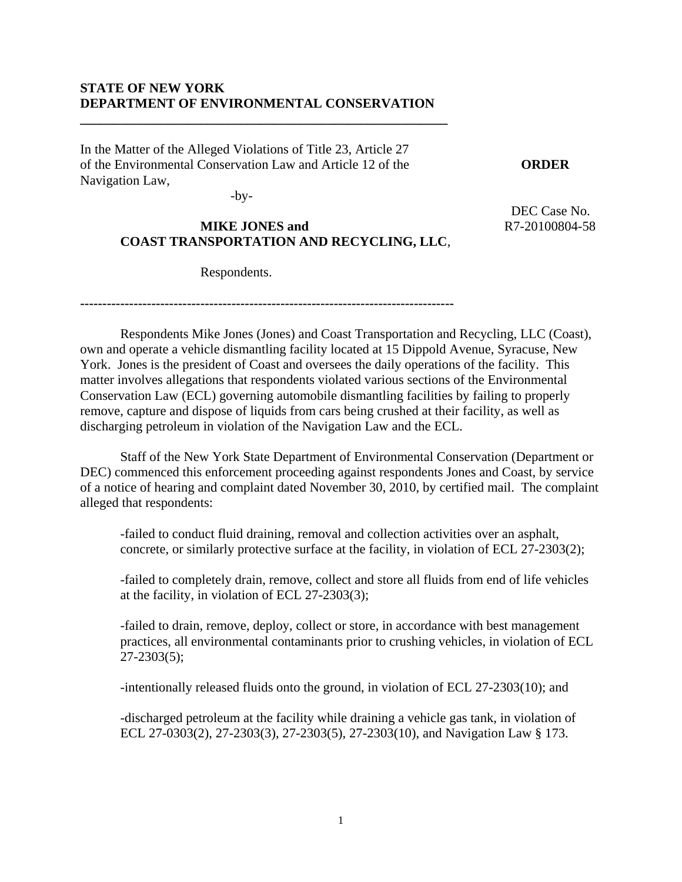#### **STATE OF NEW YORK DEPARTMENT OF ENVIRONMENTAL CONSERVATION**

**\_\_\_\_\_\_\_\_\_\_\_\_\_\_\_\_\_\_\_\_\_\_\_\_\_\_\_\_\_\_\_\_\_\_\_\_\_\_\_\_\_\_\_\_\_\_\_\_\_\_\_\_\_\_\_** 

In the Matter of the Alleged Violations of Title 23, Article 27 of the Environmental Conservation Law and Article 12 of the **ORDER**  Navigation Law,

 $-by-$ 

# **MIKE JONES and** R7-20100804-58  **COAST TRANSPORTATION AND RECYCLING, LLC**,

DEC Case No.

Respondents.

**------------------------------------------------------------------------------------** 

 Respondents Mike Jones (Jones) and Coast Transportation and Recycling, LLC (Coast), own and operate a vehicle dismantling facility located at 15 Dippold Avenue, Syracuse, New York. Jones is the president of Coast and oversees the daily operations of the facility. This matter involves allegations that respondents violated various sections of the Environmental Conservation Law (ECL) governing automobile dismantling facilities by failing to properly remove, capture and dispose of liquids from cars being crushed at their facility, as well as discharging petroleum in violation of the Navigation Law and the ECL.

Staff of the New York State Department of Environmental Conservation (Department or DEC) commenced this enforcement proceeding against respondents Jones and Coast, by service of a notice of hearing and complaint dated November 30, 2010, by certified mail. The complaint alleged that respondents:

-failed to conduct fluid draining, removal and collection activities over an asphalt, concrete, or similarly protective surface at the facility, in violation of ECL 27-2303(2);

-failed to completely drain, remove, collect and store all fluids from end of life vehicles at the facility, in violation of ECL 27-2303(3);

-failed to drain, remove, deploy, collect or store, in accordance with best management practices, all environmental contaminants prior to crushing vehicles, in violation of ECL 27-2303(5);

-intentionally released fluids onto the ground, in violation of ECL 27-2303(10); and

-discharged petroleum at the facility while draining a vehicle gas tank, in violation of ECL 27-0303(2), 27-2303(3), 27-2303(5), 27-2303(10), and Navigation Law § 173.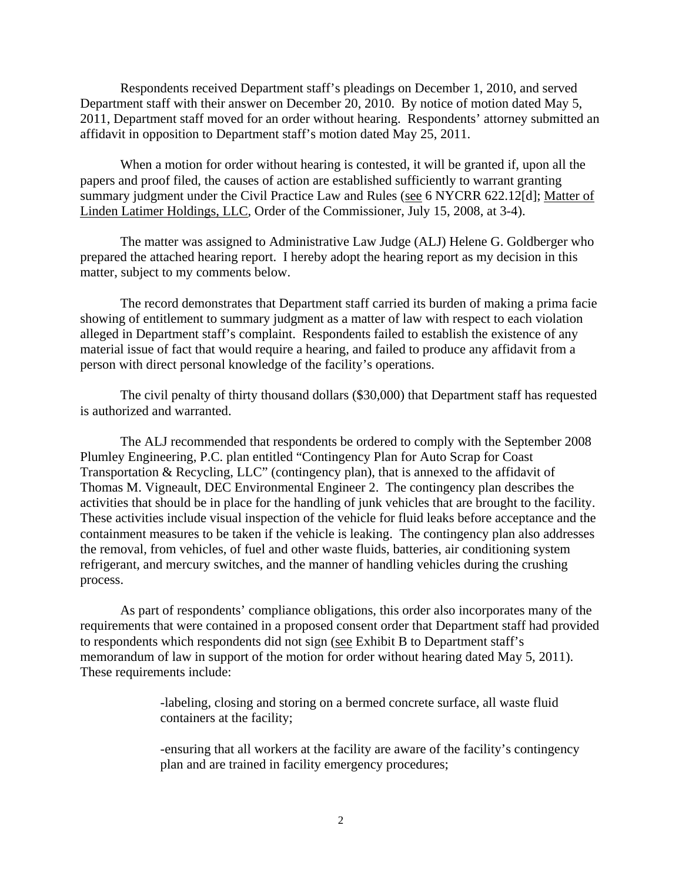Respondents received Department staff's pleadings on December 1, 2010, and served Department staff with their answer on December 20, 2010. By notice of motion dated May 5, 2011, Department staff moved for an order without hearing. Respondents' attorney submitted an affidavit in opposition to Department staff's motion dated May 25, 2011.

 When a motion for order without hearing is contested, it will be granted if, upon all the papers and proof filed, the causes of action are established sufficiently to warrant granting summary judgment under the Civil Practice Law and Rules (see 6 NYCRR 622.12[d]; Matter of Linden Latimer Holdings, LLC, Order of the Commissioner, July 15, 2008, at 3-4).

 The matter was assigned to Administrative Law Judge (ALJ) Helene G. Goldberger who prepared the attached hearing report. I hereby adopt the hearing report as my decision in this matter, subject to my comments below.

 The record demonstrates that Department staff carried its burden of making a prima facie showing of entitlement to summary judgment as a matter of law with respect to each violation alleged in Department staff's complaint. Respondents failed to establish the existence of any material issue of fact that would require a hearing, and failed to produce any affidavit from a person with direct personal knowledge of the facility's operations.

 The civil penalty of thirty thousand dollars (\$30,000) that Department staff has requested is authorized and warranted.

The ALJ recommended that respondents be ordered to comply with the September 2008 Plumley Engineering, P.C. plan entitled "Contingency Plan for Auto Scrap for Coast Transportation & Recycling, LLC" (contingency plan), that is annexed to the affidavit of Thomas M. Vigneault, DEC Environmental Engineer 2. The contingency plan describes the activities that should be in place for the handling of junk vehicles that are brought to the facility. These activities include visual inspection of the vehicle for fluid leaks before acceptance and the containment measures to be taken if the vehicle is leaking. The contingency plan also addresses the removal, from vehicles, of fuel and other waste fluids, batteries, air conditioning system refrigerant, and mercury switches, and the manner of handling vehicles during the crushing process.

As part of respondents' compliance obligations, this order also incorporates many of the requirements that were contained in a proposed consent order that Department staff had provided to respondents which respondents did not sign (see Exhibit B to Department staff's memorandum of law in support of the motion for order without hearing dated May 5, 2011). These requirements include:

> -labeling, closing and storing on a bermed concrete surface, all waste fluid containers at the facility;

-ensuring that all workers at the facility are aware of the facility's contingency plan and are trained in facility emergency procedures;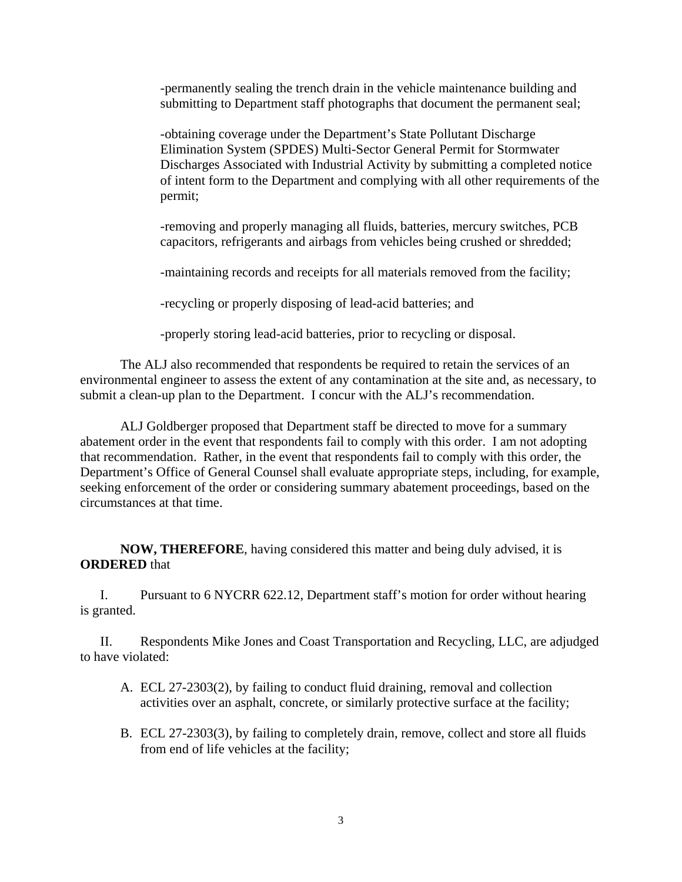-permanently sealing the trench drain in the vehicle maintenance building and submitting to Department staff photographs that document the permanent seal;

-obtaining coverage under the Department's State Pollutant Discharge Elimination System (SPDES) Multi-Sector General Permit for Stormwater Discharges Associated with Industrial Activity by submitting a completed notice of intent form to the Department and complying with all other requirements of the permit;

-removing and properly managing all fluids, batteries, mercury switches, PCB capacitors, refrigerants and airbags from vehicles being crushed or shredded;

-maintaining records and receipts for all materials removed from the facility;

-recycling or properly disposing of lead-acid batteries; and

-properly storing lead-acid batteries, prior to recycling or disposal.

The ALJ also recommended that respondents be required to retain the services of an environmental engineer to assess the extent of any contamination at the site and, as necessary, to submit a clean-up plan to the Department. I concur with the ALJ's recommendation.

ALJ Goldberger proposed that Department staff be directed to move for a summary abatement order in the event that respondents fail to comply with this order. I am not adopting that recommendation. Rather, in the event that respondents fail to comply with this order, the Department's Office of General Counsel shall evaluate appropriate steps, including, for example, seeking enforcement of the order or considering summary abatement proceedings, based on the circumstances at that time.

**NOW, THEREFORE**, having considered this matter and being duly advised, it is **ORDERED** that

I. Pursuant to 6 NYCRR 622.12, Department staff's motion for order without hearing is granted.

II. Respondents Mike Jones and Coast Transportation and Recycling, LLC, are adjudged to have violated:

- A. ECL 27-2303(2), by failing to conduct fluid draining, removal and collection activities over an asphalt, concrete, or similarly protective surface at the facility;
- B. ECL 27-2303(3), by failing to completely drain, remove, collect and store all fluids from end of life vehicles at the facility;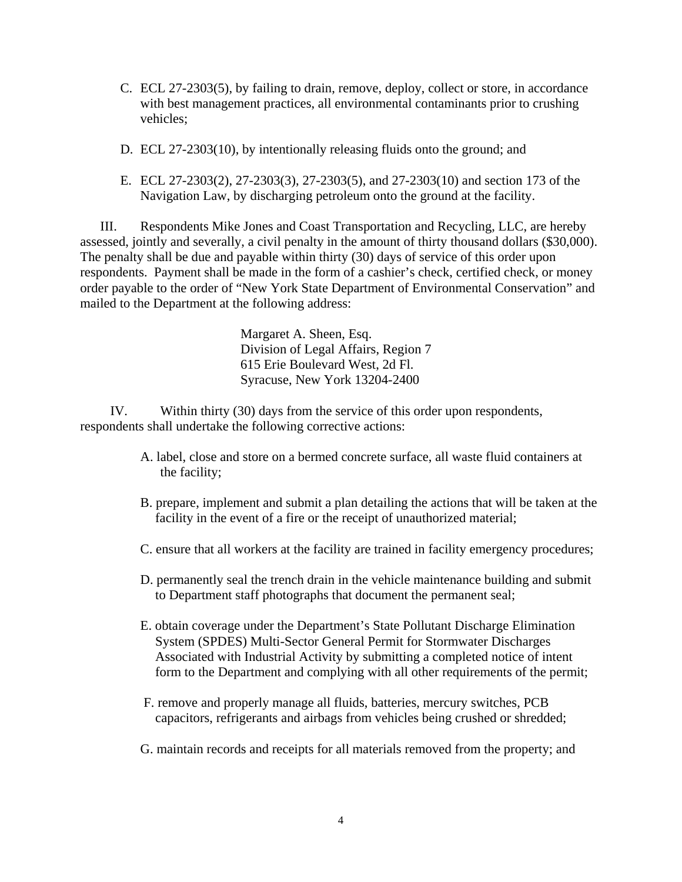- C. ECL 27-2303(5), by failing to drain, remove, deploy, collect or store, in accordance with best management practices, all environmental contaminants prior to crushing vehicles;
- D. ECL 27-2303(10), by intentionally releasing fluids onto the ground; and
- E. ECL 27-2303(2), 27-2303(3), 27-2303(5), and 27-2303(10) and section 173 of the Navigation Law, by discharging petroleum onto the ground at the facility.

III. Respondents Mike Jones and Coast Transportation and Recycling, LLC, are hereby assessed, jointly and severally, a civil penalty in the amount of thirty thousand dollars (\$30,000). The penalty shall be due and payable within thirty (30) days of service of this order upon respondents. Payment shall be made in the form of a cashier's check, certified check, or money order payable to the order of "New York State Department of Environmental Conservation" and mailed to the Department at the following address:

> Margaret A. Sheen, Esq. Division of Legal Affairs, Region 7 615 Erie Boulevard West, 2d Fl. Syracuse, New York 13204-2400

IV. Within thirty (30) days from the service of this order upon respondents, respondents shall undertake the following corrective actions:

- A. label, close and store on a bermed concrete surface, all waste fluid containers at the facility;
- B. prepare, implement and submit a plan detailing the actions that will be taken at the facility in the event of a fire or the receipt of unauthorized material;
- C. ensure that all workers at the facility are trained in facility emergency procedures;
- D. permanently seal the trench drain in the vehicle maintenance building and submit to Department staff photographs that document the permanent seal;
- E. obtain coverage under the Department's State Pollutant Discharge Elimination System (SPDES) Multi-Sector General Permit for Stormwater Discharges Associated with Industrial Activity by submitting a completed notice of intent form to the Department and complying with all other requirements of the permit;
- F. remove and properly manage all fluids, batteries, mercury switches, PCB capacitors, refrigerants and airbags from vehicles being crushed or shredded;
- G. maintain records and receipts for all materials removed from the property; and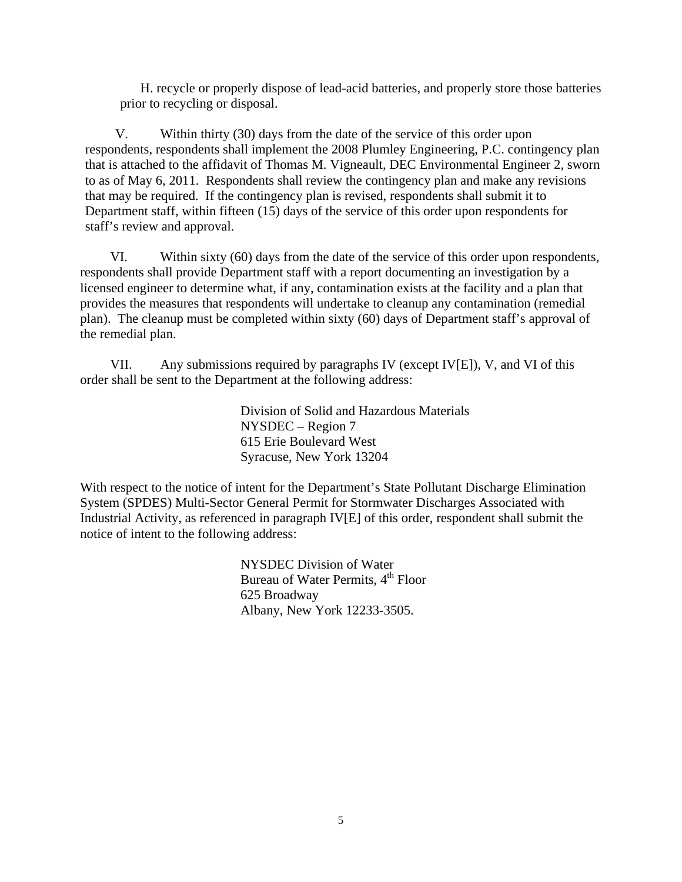H. recycle or properly dispose of lead-acid batteries, and properly store those batteries prior to recycling or disposal.

V. Within thirty (30) days from the date of the service of this order upon respondents, respondents shall implement the 2008 Plumley Engineering, P.C. contingency plan that is attached to the affidavit of Thomas M. Vigneault, DEC Environmental Engineer 2, sworn to as of May 6, 2011. Respondents shall review the contingency plan and make any revisions that may be required. If the contingency plan is revised, respondents shall submit it to Department staff, within fifteen (15) days of the service of this order upon respondents for staff's review and approval.

VI. Within sixty (60) days from the date of the service of this order upon respondents, respondents shall provide Department staff with a report documenting an investigation by a licensed engineer to determine what, if any, contamination exists at the facility and a plan that provides the measures that respondents will undertake to cleanup any contamination (remedial plan). The cleanup must be completed within sixty (60) days of Department staff's approval of the remedial plan.

VII. Any submissions required by paragraphs IV (except IV[E]), V, and VI of this order shall be sent to the Department at the following address:

> Division of Solid and Hazardous Materials NYSDEC – Region 7 615 Erie Boulevard West Syracuse, New York 13204

With respect to the notice of intent for the Department's State Pollutant Discharge Elimination System (SPDES) Multi-Sector General Permit for Stormwater Discharges Associated with Industrial Activity, as referenced in paragraph IV[E] of this order, respondent shall submit the notice of intent to the following address:

> NYSDEC Division of Water Bureau of Water Permits, 4<sup>th</sup> Floor 625 Broadway Albany, New York 12233-3505.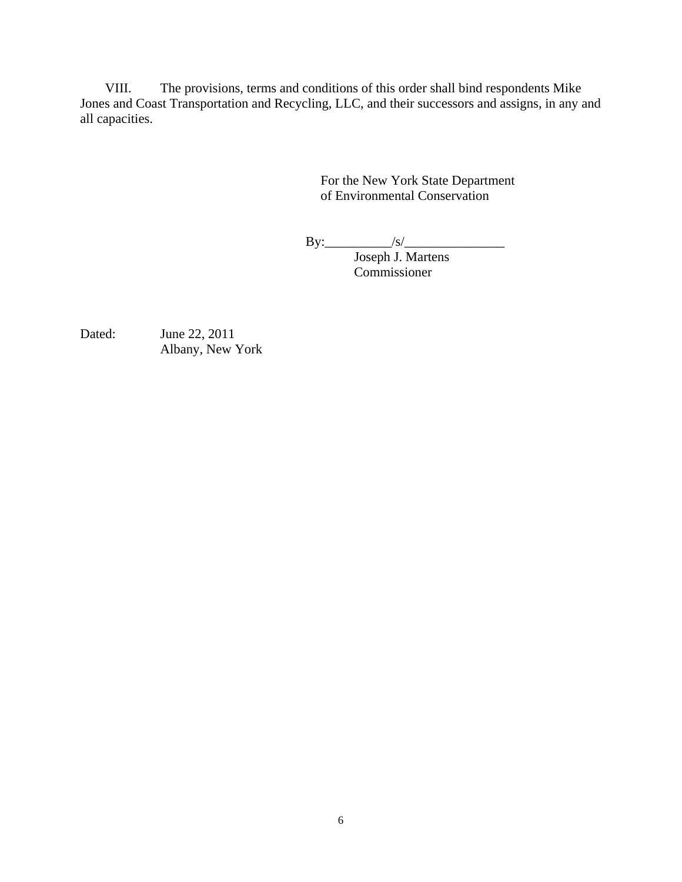VIII. The provisions, terms and conditions of this order shall bind respondents Mike Jones and Coast Transportation and Recycling, LLC, and their successors and assigns, in any and all capacities.

> For the New York State Department of Environmental Conservation

By:\_\_\_\_\_\_\_\_\_\_/s/\_\_\_\_\_\_\_\_\_\_\_\_\_\_\_

 Joseph J. Martens Commissioner

Dated: June 22, 2011 Albany, New York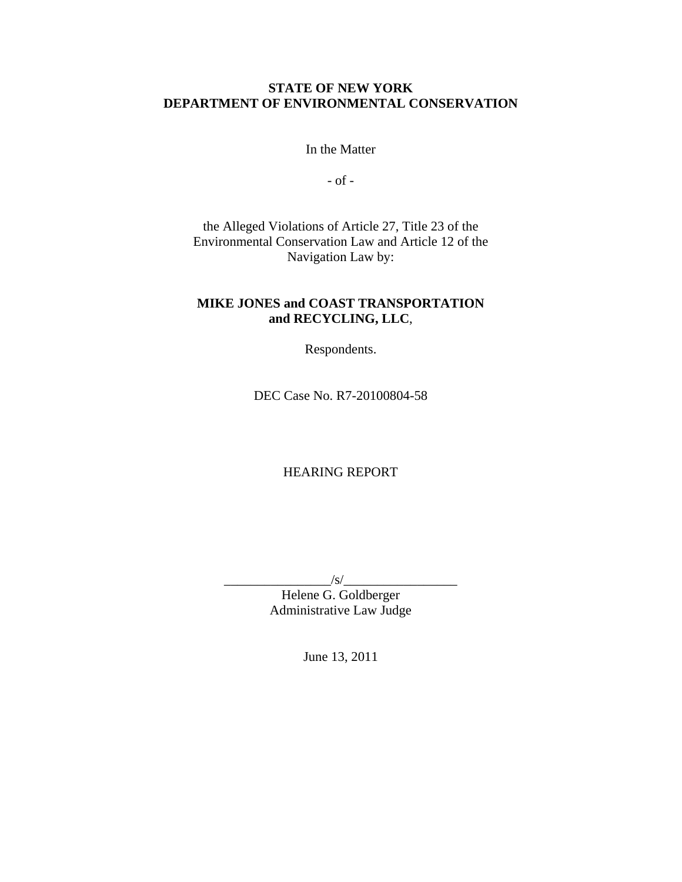#### **STATE OF NEW YORK DEPARTMENT OF ENVIRONMENTAL CONSERVATION**

In the Matter

- of -

the Alleged Violations of Article 27, Title 23 of the Environmental Conservation Law and Article 12 of the Navigation Law by:

## **MIKE JONES and COAST TRANSPORTATION and RECYCLING, LLC**,

Respondents.

DEC Case No. R7-20100804-58

### HEARING REPORT

\_\_\_\_\_\_\_\_\_\_\_\_\_\_\_\_/s/\_\_\_\_\_\_\_\_\_\_\_\_\_\_\_\_\_

Helene G. Goldberger Administrative Law Judge

June 13, 2011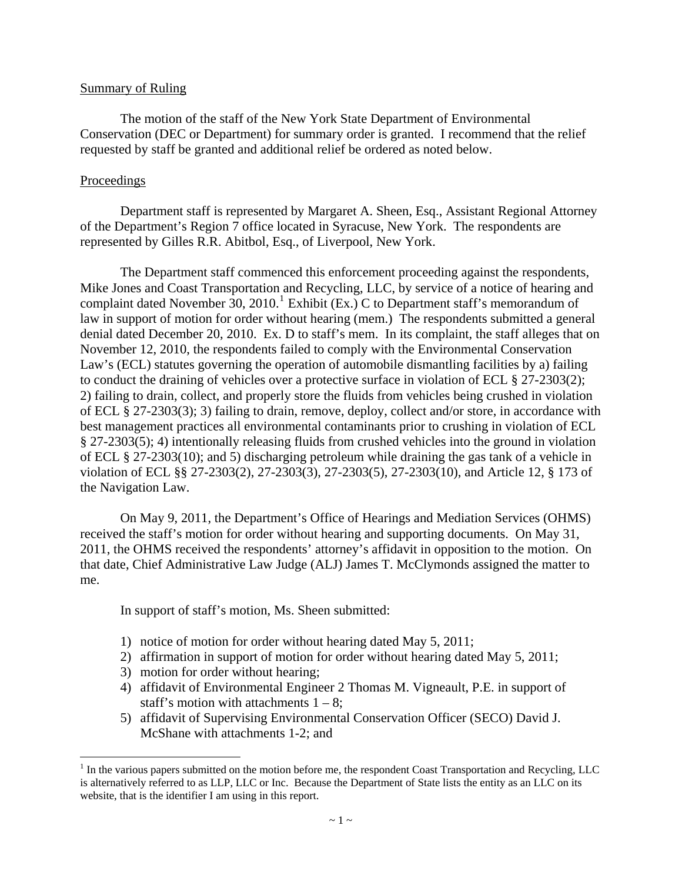#### Summary of Ruling

 The motion of the staff of the New York State Department of Environmental Conservation (DEC or Department) for summary order is granted. I recommend that the relief requested by staff be granted and additional relief be ordered as noted below.

#### Proceedings

 $\overline{a}$ 

 Department staff is represented by Margaret A. Sheen, Esq., Assistant Regional Attorney of the Department's Region 7 office located in Syracuse, New York. The respondents are represented by Gilles R.R. Abitbol, Esq., of Liverpool, New York.

 The Department staff commenced this enforcement proceeding against the respondents, Mike Jones and Coast Transportation and Recycling, LLC, by service of a notice of hearing and complaint dated November 30, 20[1](#page-7-0)0.<sup>1</sup> Exhibit (Ex.) C to Department staff's memorandum of law in support of motion for order without hearing (mem.) The respondents submitted a general denial dated December 20, 2010. Ex. D to staff's mem. In its complaint, the staff alleges that on November 12, 2010, the respondents failed to comply with the Environmental Conservation Law's (ECL) statutes governing the operation of automobile dismantling facilities by a) failing to conduct the draining of vehicles over a protective surface in violation of ECL § 27-2303(2); 2) failing to drain, collect, and properly store the fluids from vehicles being crushed in violation of ECL § 27-2303(3); 3) failing to drain, remove, deploy, collect and/or store, in accordance with best management practices all environmental contaminants prior to crushing in violation of ECL § 27-2303(5); 4) intentionally releasing fluids from crushed vehicles into the ground in violation of ECL § 27-2303(10); and 5) discharging petroleum while draining the gas tank of a vehicle in violation of ECL §§ 27-2303(2), 27-2303(3), 27-2303(5), 27-2303(10), and Article 12, § 173 of the Navigation Law.

 On May 9, 2011, the Department's Office of Hearings and Mediation Services (OHMS) received the staff's motion for order without hearing and supporting documents. On May 31, 2011, the OHMS received the respondents' attorney's affidavit in opposition to the motion. On that date, Chief Administrative Law Judge (ALJ) James T. McClymonds assigned the matter to me.

In support of staff's motion, Ms. Sheen submitted:

- 1) notice of motion for order without hearing dated May 5, 2011;
- 2) affirmation in support of motion for order without hearing dated May 5, 2011;
- 3) motion for order without hearing;
- 4) affidavit of Environmental Engineer 2 Thomas M. Vigneault, P.E. in support of staff's motion with attachments  $1 - 8$ ;
- 5) affidavit of Supervising Environmental Conservation Officer (SECO) David J. McShane with attachments 1-2; and

<span id="page-7-0"></span> $<sup>1</sup>$  In the various papers submitted on the motion before me, the respondent Coast Transportation and Recycling, LLC</sup> is alternatively referred to as LLP, LLC or Inc. Because the Department of State lists the entity as an LLC on its website, that is the identifier I am using in this report.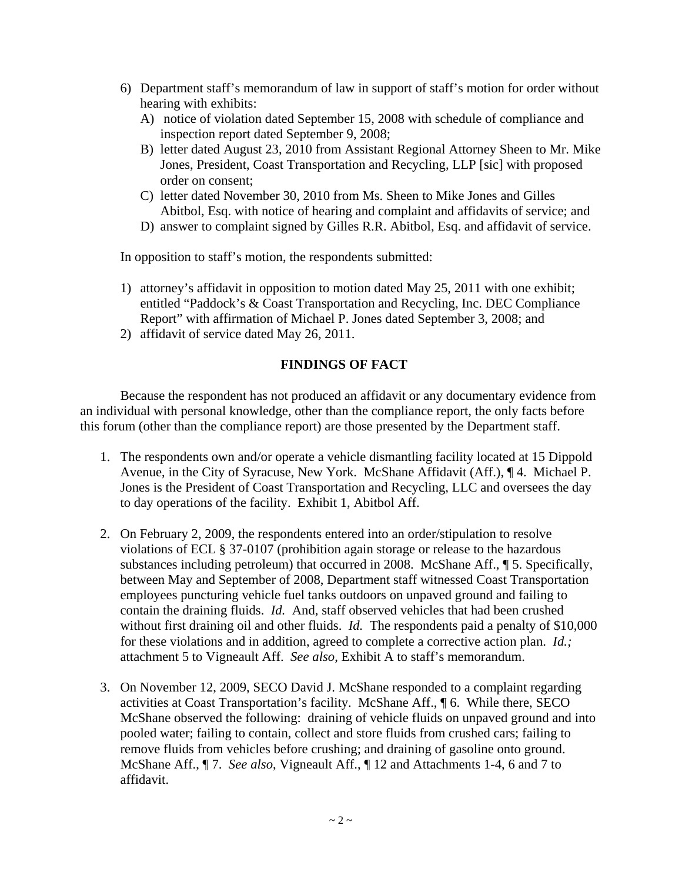- 6) Department staff's memorandum of law in support of staff's motion for order without hearing with exhibits:
	- A) notice of violation dated September 15, 2008 with schedule of compliance and inspection report dated September 9, 2008;
	- B) letter dated August 23, 2010 from Assistant Regional Attorney Sheen to Mr. Mike Jones, President, Coast Transportation and Recycling, LLP [sic] with proposed order on consent;
	- C) letter dated November 30, 2010 from Ms. Sheen to Mike Jones and Gilles Abitbol, Esq. with notice of hearing and complaint and affidavits of service; and
	- D) answer to complaint signed by Gilles R.R. Abitbol, Esq. and affidavit of service.

In opposition to staff's motion, the respondents submitted:

- 1) attorney's affidavit in opposition to motion dated May 25, 2011 with one exhibit; entitled "Paddock's & Coast Transportation and Recycling, Inc. DEC Compliance Report" with affirmation of Michael P. Jones dated September 3, 2008; and
- 2) affidavit of service dated May 26, 2011.

#### **FINDINGS OF FACT**

 Because the respondent has not produced an affidavit or any documentary evidence from an individual with personal knowledge, other than the compliance report, the only facts before this forum (other than the compliance report) are those presented by the Department staff.

- 1. The respondents own and/or operate a vehicle dismantling facility located at 15 Dippold Avenue, in the City of Syracuse, New York. McShane Affidavit (Aff.), ¶ 4. Michael P. Jones is the President of Coast Transportation and Recycling, LLC and oversees the day to day operations of the facility. Exhibit 1, Abitbol Aff.
- 2. On February 2, 2009, the respondents entered into an order/stipulation to resolve violations of ECL § 37-0107 (prohibition again storage or release to the hazardous substances including petroleum) that occurred in 2008. McShane Aff., ¶ 5. Specifically, between May and September of 2008, Department staff witnessed Coast Transportation employees puncturing vehicle fuel tanks outdoors on unpaved ground and failing to contain the draining fluids. *Id.* And, staff observed vehicles that had been crushed without first draining oil and other fluids. *Id.* The respondents paid a penalty of \$10,000 for these violations and in addition, agreed to complete a corrective action plan. *Id.;*  attachment 5 to Vigneault Aff. *See also*, Exhibit A to staff's memorandum.
- 3. On November 12, 2009, SECO David J. McShane responded to a complaint regarding activities at Coast Transportation's facility. McShane Aff., ¶ 6. While there, SECO McShane observed the following: draining of vehicle fluids on unpaved ground and into pooled water; failing to contain, collect and store fluids from crushed cars; failing to remove fluids from vehicles before crushing; and draining of gasoline onto ground. McShane Aff., ¶ 7. *See also*, Vigneault Aff., ¶ 12 and Attachments 1-4, 6 and 7 to affidavit.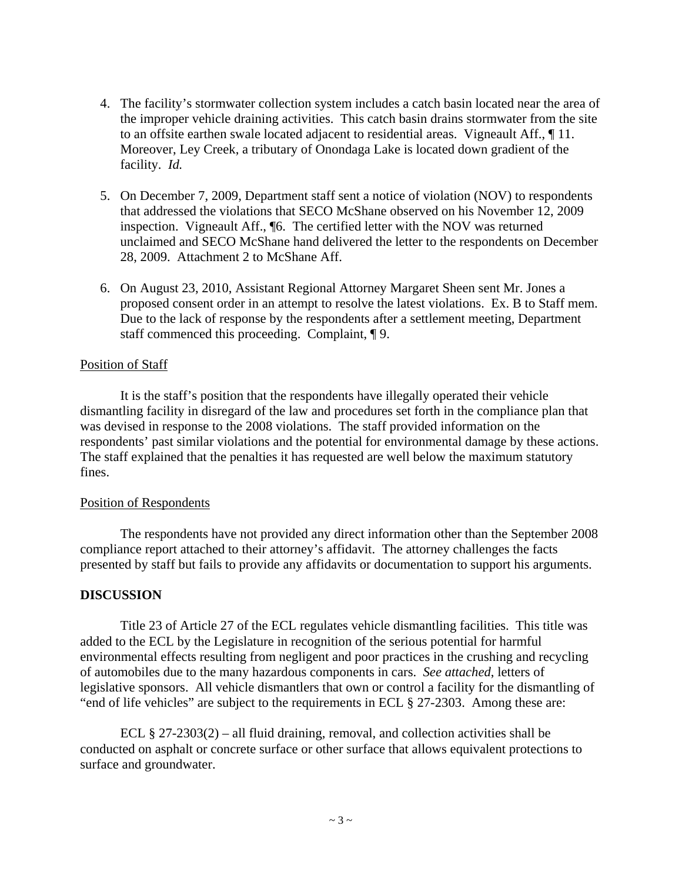- 4. The facility's stormwater collection system includes a catch basin located near the area of the improper vehicle draining activities. This catch basin drains stormwater from the site to an offsite earthen swale located adjacent to residential areas. Vigneault Aff., ¶ 11. Moreover, Ley Creek, a tributary of Onondaga Lake is located down gradient of the facility. *Id.*
- 5. On December 7, 2009, Department staff sent a notice of violation (NOV) to respondents that addressed the violations that SECO McShane observed on his November 12, 2009 inspection. Vigneault Aff., ¶6. The certified letter with the NOV was returned unclaimed and SECO McShane hand delivered the letter to the respondents on December 28, 2009. Attachment 2 to McShane Aff.
- 6. On August 23, 2010, Assistant Regional Attorney Margaret Sheen sent Mr. Jones a proposed consent order in an attempt to resolve the latest violations. Ex. B to Staff mem. Due to the lack of response by the respondents after a settlement meeting, Department staff commenced this proceeding. Complaint, ¶ 9.

#### Position of Staff

 It is the staff's position that the respondents have illegally operated their vehicle dismantling facility in disregard of the law and procedures set forth in the compliance plan that was devised in response to the 2008 violations. The staff provided information on the respondents' past similar violations and the potential for environmental damage by these actions. The staff explained that the penalties it has requested are well below the maximum statutory fines.

#### Position of Respondents

 The respondents have not provided any direct information other than the September 2008 compliance report attached to their attorney's affidavit. The attorney challenges the facts presented by staff but fails to provide any affidavits or documentation to support his arguments.

#### **DISCUSSION**

 Title 23 of Article 27 of the ECL regulates vehicle dismantling facilities. This title was added to the ECL by the Legislature in recognition of the serious potential for harmful environmental effects resulting from negligent and poor practices in the crushing and recycling of automobiles due to the many hazardous components in cars. *See attached*, letters of legislative sponsors. All vehicle dismantlers that own or control a facility for the dismantling of "end of life vehicles" are subject to the requirements in ECL § 27-2303. Among these are:

ECL  $\S 27-2303(2)$  – all fluid draining, removal, and collection activities shall be conducted on asphalt or concrete surface or other surface that allows equivalent protections to surface and groundwater.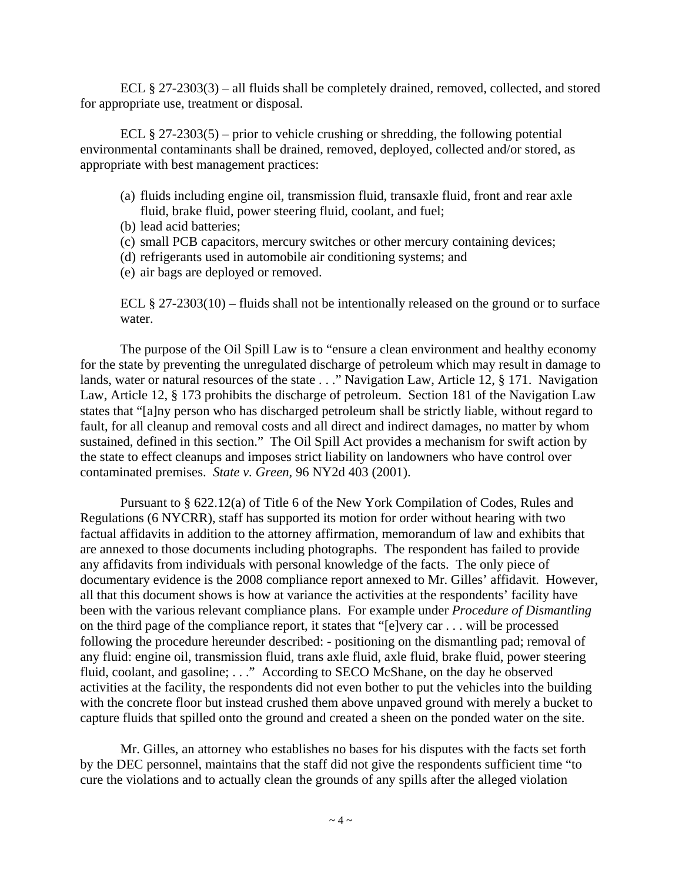ECL § 27-2303(3) – all fluids shall be completely drained, removed, collected, and stored for appropriate use, treatment or disposal.

ECL  $\S 27-2303(5)$  – prior to vehicle crushing or shredding, the following potential environmental contaminants shall be drained, removed, deployed, collected and/or stored, as appropriate with best management practices:

- (a) fluids including engine oil, transmission fluid, transaxle fluid, front and rear axle fluid, brake fluid, power steering fluid, coolant, and fuel;
- (b) lead acid batteries;
- (c) small PCB capacitors, mercury switches or other mercury containing devices;
- (d) refrigerants used in automobile air conditioning systems; and
- (e) air bags are deployed or removed.

ECL § 27-2303(10) – fluids shall not be intentionally released on the ground or to surface water.

The purpose of the Oil Spill Law is to "ensure a clean environment and healthy economy for the state by preventing the unregulated discharge of petroleum which may result in damage to lands, water or natural resources of the state . . ." Navigation Law, Article 12, § 171. Navigation Law, Article 12, § 173 prohibits the discharge of petroleum. Section 181 of the Navigation Law states that "[a]ny person who has discharged petroleum shall be strictly liable, without regard to fault, for all cleanup and removal costs and all direct and indirect damages, no matter by whom sustained, defined in this section." The Oil Spill Act provides a mechanism for swift action by the state to effect cleanups and imposes strict liability on landowners who have control over contaminated premises. *State v. Green*, 96 NY2d 403 (2001).

 Pursuant to § 622.12(a) of Title 6 of the New York Compilation of Codes, Rules and Regulations (6 NYCRR), staff has supported its motion for order without hearing with two factual affidavits in addition to the attorney affirmation, memorandum of law and exhibits that are annexed to those documents including photographs. The respondent has failed to provide any affidavits from individuals with personal knowledge of the facts. The only piece of documentary evidence is the 2008 compliance report annexed to Mr. Gilles' affidavit. However, all that this document shows is how at variance the activities at the respondents' facility have been with the various relevant compliance plans. For example under *Procedure of Dismantling*  on the third page of the compliance report, it states that "[e]very car . . . will be processed following the procedure hereunder described: - positioning on the dismantling pad; removal of any fluid: engine oil, transmission fluid, trans axle fluid, axle fluid, brake fluid, power steering fluid, coolant, and gasoline; ..." According to SECO McShane, on the day he observed activities at the facility, the respondents did not even bother to put the vehicles into the building with the concrete floor but instead crushed them above unpaved ground with merely a bucket to capture fluids that spilled onto the ground and created a sheen on the ponded water on the site.

 Mr. Gilles, an attorney who establishes no bases for his disputes with the facts set forth by the DEC personnel, maintains that the staff did not give the respondents sufficient time "to cure the violations and to actually clean the grounds of any spills after the alleged violation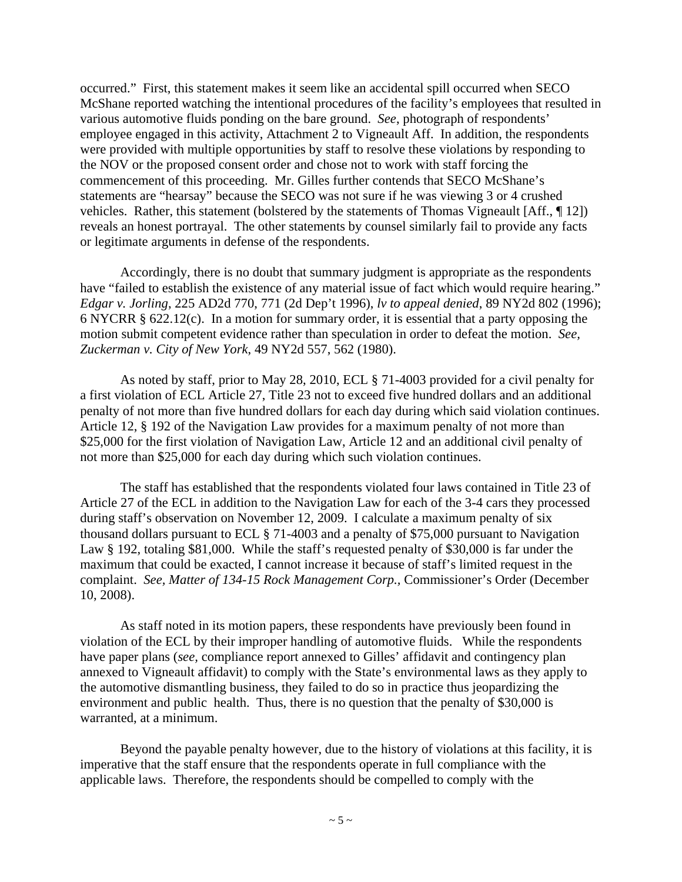occurred." First, this statement makes it seem like an accidental spill occurred when SECO McShane reported watching the intentional procedures of the facility's employees that resulted in various automotive fluids ponding on the bare ground. *See*, photograph of respondents' employee engaged in this activity, Attachment 2 to Vigneault Aff. In addition, the respondents were provided with multiple opportunities by staff to resolve these violations by responding to the NOV or the proposed consent order and chose not to work with staff forcing the commencement of this proceeding. Mr. Gilles further contends that SECO McShane's statements are "hearsay" because the SECO was not sure if he was viewing 3 or 4 crushed vehicles. Rather, this statement (bolstered by the statements of Thomas Vigneault [Aff., ¶ 12]) reveals an honest portrayal. The other statements by counsel similarly fail to provide any facts or legitimate arguments in defense of the respondents.

 Accordingly, there is no doubt that summary judgment is appropriate as the respondents have "failed to establish the existence of any material issue of fact which would require hearing." *Edgar v. Jorling*, 225 AD2d 770, 771 (2d Dep't 1996), *lv to appeal denied*, 89 NY2d 802 (1996); 6 NYCRR § 622.12(c). In a motion for summary order, it is essential that a party opposing the motion submit competent evidence rather than speculation in order to defeat the motion. *See, Zuckerman v. City of New York*, 49 NY2d 557, 562 (1980).

 As noted by staff, prior to May 28, 2010, ECL § 71-4003 provided for a civil penalty for a first violation of ECL Article 27, Title 23 not to exceed five hundred dollars and an additional penalty of not more than five hundred dollars for each day during which said violation continues. Article 12, § 192 of the Navigation Law provides for a maximum penalty of not more than \$25,000 for the first violation of Navigation Law, Article 12 and an additional civil penalty of not more than \$25,000 for each day during which such violation continues.

 The staff has established that the respondents violated four laws contained in Title 23 of Article 27 of the ECL in addition to the Navigation Law for each of the 3-4 cars they processed during staff's observation on November 12, 2009. I calculate a maximum penalty of six thousand dollars pursuant to ECL § 71-4003 and a penalty of \$75,000 pursuant to Navigation Law § 192, totaling \$81,000. While the staff's requested penalty of \$30,000 is far under the maximum that could be exacted, I cannot increase it because of staff's limited request in the complaint. *See, Matter of 134-15 Rock Management Corp.,* Commissioner's Order (December 10, 2008).

 As staff noted in its motion papers, these respondents have previously been found in violation of the ECL by their improper handling of automotive fluids. While the respondents have paper plans (*see,* compliance report annexed to Gilles' affidavit and contingency plan annexed to Vigneault affidavit) to comply with the State's environmental laws as they apply to the automotive dismantling business, they failed to do so in practice thus jeopardizing the environment and public health. Thus, there is no question that the penalty of \$30,000 is warranted, at a minimum.

 Beyond the payable penalty however, due to the history of violations at this facility, it is imperative that the staff ensure that the respondents operate in full compliance with the applicable laws. Therefore, the respondents should be compelled to comply with the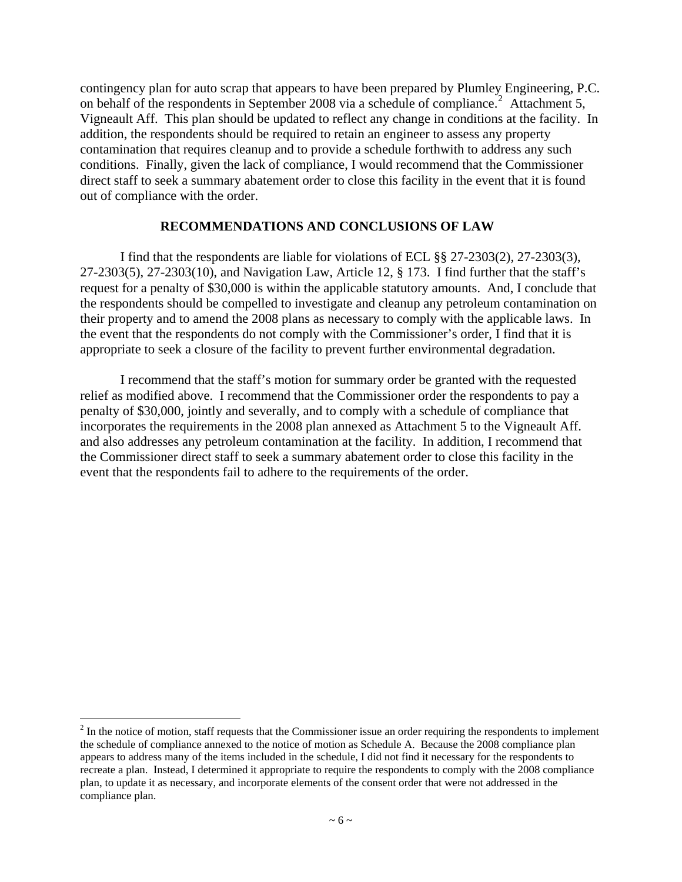contingency plan for auto scrap that appears to have been prepared by Plumley Engineering, P.C. on behalf of the respondents in September [2](#page-12-0)008 via a schedule of compliance.<sup>2</sup> Attachment 5, Vigneault Aff. This plan should be updated to reflect any change in conditions at the facility. In addition, the respondents should be required to retain an engineer to assess any property contamination that requires cleanup and to provide a schedule forthwith to address any such conditions. Finally, given the lack of compliance, I would recommend that the Commissioner direct staff to seek a summary abatement order to close this facility in the event that it is found out of compliance with the order.

#### **RECOMMENDATIONS AND CONCLUSIONS OF LAW**

I find that the respondents are liable for violations of ECL §§ 27-2303(2), 27-2303(3), 27-2303(5), 27-2303(10), and Navigation Law, Article 12, § 173. I find further that the staff's request for a penalty of \$30,000 is within the applicable statutory amounts. And, I conclude that the respondents should be compelled to investigate and cleanup any petroleum contamination on their property and to amend the 2008 plans as necessary to comply with the applicable laws. In the event that the respondents do not comply with the Commissioner's order, I find that it is appropriate to seek a closure of the facility to prevent further environmental degradation.

I recommend that the staff's motion for summary order be granted with the requested relief as modified above. I recommend that the Commissioner order the respondents to pay a penalty of \$30,000, jointly and severally, and to comply with a schedule of compliance that incorporates the requirements in the 2008 plan annexed as Attachment 5 to the Vigneault Aff. and also addresses any petroleum contamination at the facility. In addition, I recommend that the Commissioner direct staff to seek a summary abatement order to close this facility in the event that the respondents fail to adhere to the requirements of the order.

 $\overline{a}$ 

<span id="page-12-0"></span> $2<sup>2</sup>$  In the notice of motion, staff requests that the Commissioner issue an order requiring the respondents to implement the schedule of compliance annexed to the notice of motion as Schedule A. Because the 2008 compliance plan appears to address many of the items included in the schedule, I did not find it necessary for the respondents to recreate a plan. Instead, I determined it appropriate to require the respondents to comply with the 2008 compliance plan, to update it as necessary, and incorporate elements of the consent order that were not addressed in the compliance plan.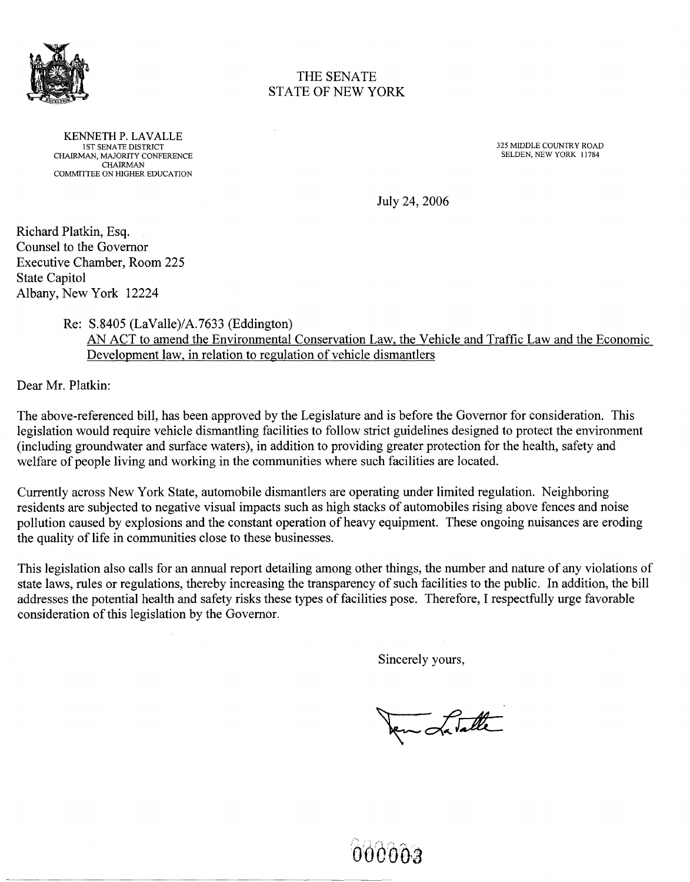

#### THE SENATE STATE OF NEW YORK

KENNETH P. LAVALLE 1ST SENATE DISTRICT CHAIRMAN, MAJORITY CONFERENCE CHAIRMAN COMMITTEE ON HIGHER EDUCATION

325 MIDDLE COUNTRY ROAD SELDEN, NEW YORK 11784

July 24, 2006

Richard Platkin, Esq. Counsel to the Governor Executive Chamber, Room 225 State Capitol Albany, New York 12224

Re: S.8405 (LaValle)/A.7633 (Eddington)

AN ACT to amend the Environmental Conservation Law, the Vehicle and Traffic Law and the Economic Development law, in relation to regulation of vehicle dismantlers

Dear Mr. Platkin:

The above-referenced bill, has been approved by the Legislature and is before the Governor for consideration. This legislation would require vehicle dismantling facilities to follow strict guidelines designed to protect the environment (including groundwater and surface waters), in addition to providing greater protection for the health, safety and welfare of people living and working in the communities where such facilities are located.

Currently across New York State, automobile dismantlers are operating under limited regulation. Neighboring residents are subjected to negative visual impacts such as high stacks of automobiles rising above fences and noise pollution caused by explosions and the constant operation of heavy equipment. These ongoing nuisances are eroding the quality of life in communities close to these businesses.

This legislation also calls for an annual report detailing among other things, the number and nature of any violations of state laws, rules or regulations, thereby increasing the transparency of such facilities to the public. In addition, the bill addresses the potential health and safety risks these types of facilities pose. Therefore, I respectfully urge favorable consideration of this legislation by the Governor.

Sincerely yours,

en Latalle

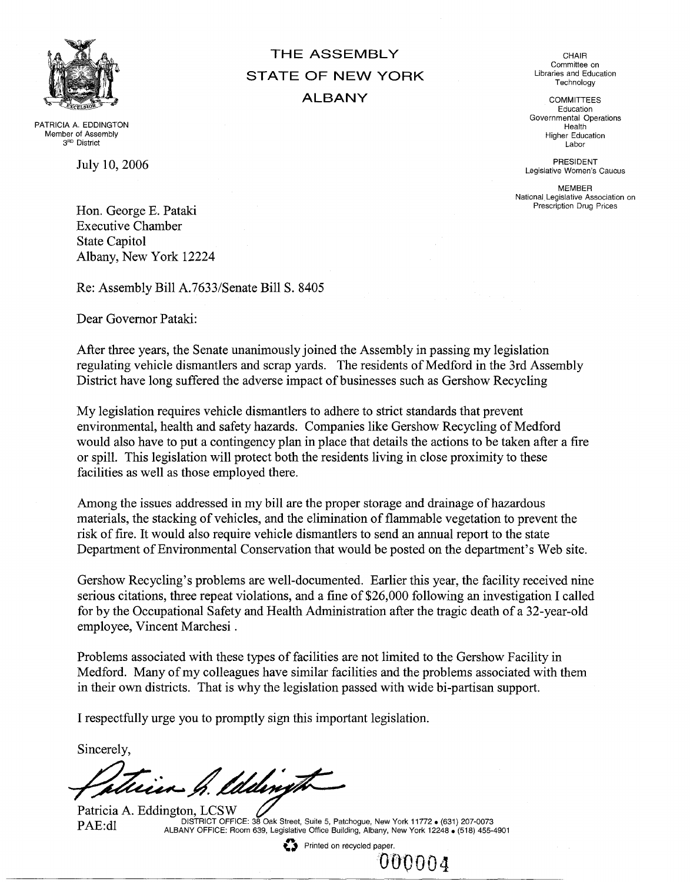

PATRICIA A. EDDINGTON Member of Assembly 3<sup>RD</sup> District

July 10,2006

Hon. George E. Pataki Executive Chamber State Capitol Albany, New York 12224

Re: Assembly Bill A.7633/Senate Bill S. 8405

Dear Governor Pataki:

After three years, the Senate unanimously joined the Assembly in passing my legislation regulating vehicle dismantlers and scrap yards. The residents of Medford in the 3rd Assembly District have long suffered the adverse impact of businesses such as Gershow Recycling

**THE** ASSEMBLY **STATE OF NEW YORK**

**ALBANY**

My legislation requires vehicle dismantlers to adhere to strict standards that prevent environmental, health and safety hazards. Companies like Gershow Recycling of Medford would also have to put a contingency plan in place that details the actions to be taken after a fire or spill. This legislation will protect both the residents living in close proximity to these facilities as well as those employed there.

Among the issues addressed in my bill are the proper storage and drainage of hazardous materials, the stacking of vehicles, and the elimination of flammable vegetation to prevent the risk of fire. It would also require vehicle dismantlers to send an annual report to the state Department of Environmental Conservation that would be posted on the department's Web site.

Gershow Recycling's problems are well-documented. Earlier this year, the facility received nine serious citations, three repeat violations, and a fine of \$26,000 following an investigation I called for by the Occupational Safety and Health Administration after the tragic death of a 32-year-old employee, Vincent Marchesi.

Problems associated with these types of facilities are not limited to the Gershow Facility in Medford. Many of my colleagues have similar facilities and the problems associated with them in their own districts. That is why the legislation passed with wide bi-partisan support.

I respectfully urge you to promptly sign this important legislation.

Sincerely,

fatrin h. lddingt

PAE:dl DISTRICT OFFICE: 38 Oak Street, Suite 5, Patchogue, New York 11772 • (631) 207-0073 • ALBANY OFFICE: Room 639, Legislative Office Building, Albany, New York 12248. (518) 455-4901

₹→ Printed on recycled paper.

'000004

CHAIR Committee on Libraries and Education Technology

COMMITTEES Education Governmental Operations Health Higher Education Labor

PRESIDENT Legislative Women's Caucus

MEMBER National Legislative Association on Prescription Drug Prices